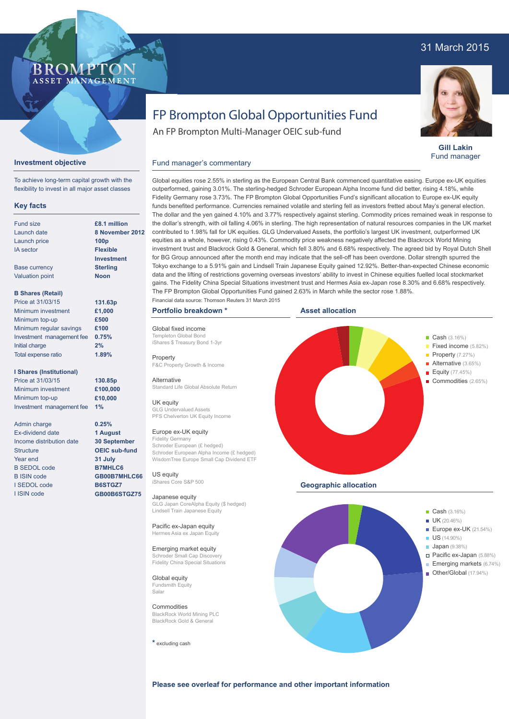## 31 March 2015



**Gill Lakin** Fund manager

# FP Brompton Global Opportunities Fund

An FP Brompton Multi-Manager OEIC sub-fund

## Fund manager's commentary

| <b>Key facts</b>         |                   |
|--------------------------|-------------------|
| Fund size                | £8.1 million      |
| Launch date              | 8 Novembe         |
| Launch price             | 100 <sub>D</sub>  |
| <b>IA</b> sector         | <b>Flexible</b>   |
|                          | <b>Investment</b> |
| <b>Base currency</b>     | <b>Sterling</b>   |
| <b>Valuation point</b>   | <b>Noon</b>       |
| <b>B Shares (Retail)</b> |                   |
| Price at 31/03/15        | 131.63p           |
| Minimum investment       | £1.000            |

Price at 31/ Minimum investment Minimum top-up Minimum regular savings Investment management fee **0.75%** Initial charge Total expense ratio **£500 £100 2% 1.89%**

**Investment objective**

To achieve long-term capital growth with the flexibility to invest in all major asset classes

**BROMP** 

ASSET MANAGEMENT

#### **I Shares (Institutional)**

Price at 31/03/15 Minimum investment Minimum top-up Investment management fee **1%**

Admin charge Ex-dividend date Income distribution date **Structure** Year end B SEDOL code B ISIN code I SEDOL code I ISIN code

**£8.1 million 8 2012** 

> **130.85p £100,000 £10,000**

**0.25% 1 August 30 September OEIC sub-fund 31 July B7MHLC6 GB00B7MHLC66 B6STGZ7 GB00B6STGZ75**

Global equities rose 2.55% in sterling as the European Central Bank commenced quantitative easing. Europe ex-UK equities outperformed, gaining 3.01%. The sterling-hedged Schroder European Alpha Income fund did better, rising 4.18%, while Fidelity Germany rose 3.73%. The FP Brompton Global Opportunities Fund's significant allocation to Europe ex-UK equity funds benefited performance. Currencies remained volatile and sterling fell as investors fretted about May's general election. The dollar and the yen gained 4.10% and 3.77% respectively against sterling. Commodity prices remained weak in response to the dollar's strength, with oil falling 4.06% in sterling. The high representation of natural resources companies in the UK market contributed to 1.98% fall for UK equities. GLG Undervalued Assets, the portfolio's largest UK investment, outperformed UK equities as a whole, however, rising 0.43%. Commodity price weakness negatively affected the Blackrock World Mining investment trust and Blackrock Gold & General, which fell 3.80% and 6.68% respectively. The agreed bid by Royal Dutch Shell for BG Group announced after the month end may indicate that the sell-off has been overdone. Dollar strength spurred the

Tokyo exchange to a 5.91% gain and Lindsell Train Japanese Equity gained 12.92%. Better-than-expected Chinese economic data and the lifting of restrictions governing overseas investors' ability to invest in Chinese equities fuelled local stockmarket gains. The Fidelity China Special Situations investment trust and Hermes Asia ex-Japan rose 8.30% and 6.68% respectively. The FP Brompton Global Opportunities Fund gained 2.63% in March while the sector rose 1.88%. Financial data source: Thomson Reuters 31 March 2015

#### **Portfolio breakdown \***

Global fixed income Templeton Global Bond iShares \$ Treasury Bond 1-3yr

Property F&C Property Growth & Income

Alternative Standard Life Global Absolute Return

UK equity GLG Undervalued Assets PFS Chelverton UK Equity Income

#### Europe ex-UK equity

Fidelity Germany Schroder European (£ hedged) Schroder European Alpha Income (£ hedged) WisdomTree Europe Small Cap Dividend ETF

US equity iShares Core S&P 500

Japanese equity GLG Japan CoreAlpha Equity (\$ hedged) Lindsell Train Japanese Equity

Pacific ex-Japan equity Hermes Asia ex Japan Equity

## Emerging market equity

Schroder Small Cap Discovery Fidelity China Special Situations

Global equity Fundsmith Equity Salar

**Commodities** BlackRock World Mining PLC BlackRock Gold & General

**\*** excluding cash





**Please see overleaf for performance and other important information**